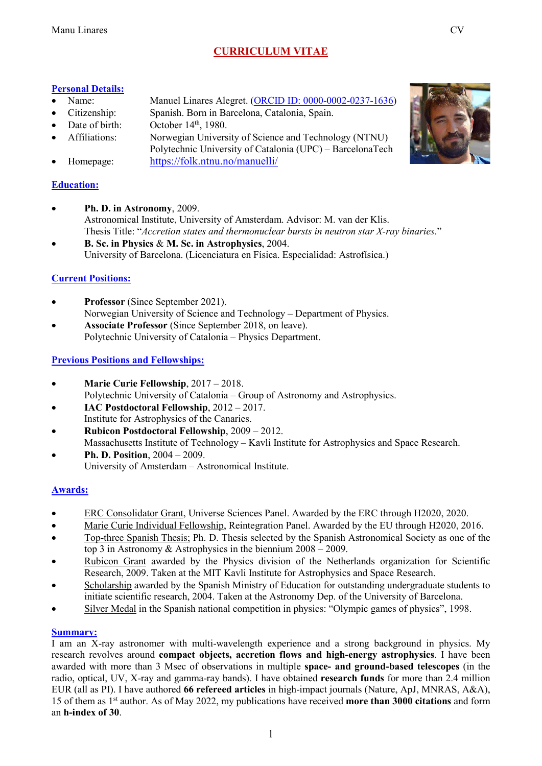# **CURRICULUM VITAE**

### **Personal Details:**

- Name: Manuel Linares Alegret. (ORCID [ID: 0000-0002-0237-1636\)](https://orcid.org/0000-0002-0237-1636)
- Citizenship: Spanish. Born in Barcelona, Catalonia, Spain.
- Date of birth: October 14<sup>th</sup>, 1980.
- Affiliations: Norwegian University of Science and Technology (NTNU) Polytechnic University of Catalonia (UPC) – BarcelonaTech
- Homepage: <https://folk.ntnu.no/manuelli/>

## **Education:**

- **Ph. D. in Astronomy**, 2009. Astronomical Institute, University of Amsterdam. Advisor: M. van der Klis. Thesis Title: "*Accretion states and thermonuclear bursts in neutron star X-ray binaries*."
- **B. Sc. in Physics** & **M. Sc. in Astrophysics**, 2004. University of Barcelona. (Licenciatura en Física. Especialidad: Astrofísica.)

## **Current Positions:**

- **Professor** (Since September 2021). Norwegian University of Science and Technology – Department of Physics.
- **Associate Professor** (Since September 2018, on leave). Polytechnic University of Catalonia – Physics Department.

## **Previous Positions and Fellowships:**

- **Marie Curie Fellowship**, 2017 2018. Polytechnic University of Catalonia – Group of Astronomy and Astrophysics.
- **IAC Postdoctoral Fellowship**, 2012 2017. Institute for Astrophysics of the Canaries.
- **Rubicon Postdoctoral Fellowship**, 2009 2012. Massachusetts Institute of Technology – Kavli Institute for Astrophysics and Space Research.
- **Ph. D. Position**, 2004 2009. University of Amsterdam – Astronomical Institute.

## **Awards:**

- ERC Consolidator Grant, Universe Sciences Panel. Awarded by the ERC through H2020, 2020.
- Marie Curie Individual Fellowship, Reintegration Panel. Awarded by the EU through H2020, 2016.
- Top-three Spanish Thesis; Ph. D. Thesis selected by the Spanish Astronomical Society as one of the top 3 in Astronomy & Astrophysics in the biennium 2008 – 2009.
- Rubicon Grant awarded by the Physics division of the Netherlands organization for Scientific Research, 2009. Taken at the MIT Kavli Institute for Astrophysics and Space Research.
- Scholarship awarded by the Spanish Ministry of Education for outstanding undergraduate students to initiate scientific research, 2004. Taken at the Astronomy Dep. of the University of Barcelona.
- Silver Medal in the Spanish national competition in physics: "Olympic games of physics", 1998.

## **Summary:**

I am an X-ray astronomer with multi-wavelength experience and a strong background in physics. My research revolves around **compact objects, accretion flows and high-energy astrophysics**. I have been awarded with more than 3 Msec of observations in multiple **space- and ground-based telescopes** (in the radio, optical, UV, X-ray and gamma-ray bands). I have obtained **research funds** for more than 2.4 million EUR (all as PI). I have authored **66 refereed articles** in high-impact journals (Nature, ApJ, MNRAS, A&A), 15 of them as 1st author. As of May 2022, my publications have received **more than 3000 citations** and form an **h-index of 30**.

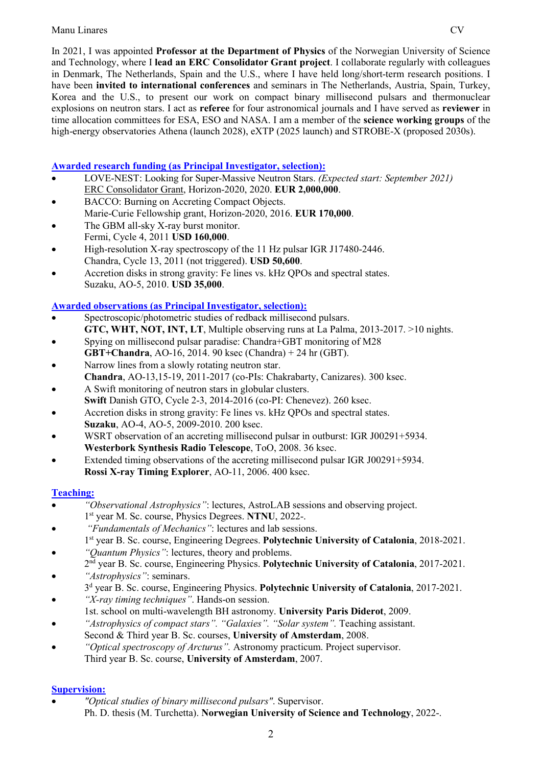In 2021, I was appointed **Professor at the Department of Physics** of the Norwegian University of Science and Technology, where I **lead an ERC Consolidator Grant project**. I collaborate regularly with colleagues in Denmark, The Netherlands, Spain and the U.S., where I have held long/short-term research positions. I have been **invited to international conferences** and seminars in The Netherlands, Austria, Spain, Turkey, Korea and the U.S., to present our work on compact binary millisecond pulsars and thermonuclear explosions on neutron stars. I act as **referee** for four astronomical journals and I have served as **reviewer** in time allocation committees for ESA, ESO and NASA. I am a member of the **science working groups** of the high-energy observatories Athena (launch 2028), eXTP (2025 launch) and STROBE-X (proposed 2030s).

## **Awarded research funding (as Principal Investigator, selection):**

- LOVE-NEST: Looking for Super-Massive Neutron Stars. *(Expected start: September 2021)* ERC Consolidator Grant, Horizon-2020, 2020. **EUR 2,000,000**.
- BACCO: Burning on Accreting Compact Objects. Marie-Curie Fellowship grant, Horizon-2020, 2016. **EUR 170,000**.
- The GBM all-sky X-ray burst monitor. Fermi, Cycle 4, 2011 **USD 160,000**.
- High-resolution X-ray spectroscopy of the 11 Hz pulsar IGR J17480-2446. Chandra, Cycle 13, 2011 (not triggered). **USD 50,600**.
- Accretion disks in strong gravity: Fe lines vs. kHz QPOs and spectral states. Suzaku, AO-5, 2010. **USD 35,000**.

## **Awarded observations (as Principal Investigator, selection):**

- Spectroscopic/photometric studies of redback millisecond pulsars. **GTC, WHT, NOT, INT, LT**, Multiple observing runs at La Palma, 2013-2017. >10 nights.
- Spying on millisecond pulsar paradise: Chandra+GBT monitoring of M28
- **GBT+Chandra**, AO-16, 2014. 90 ksec (Chandra) + 24 hr (GBT).
- Narrow lines from a slowly rotating neutron star. **Chandra**, AO-13,15-19, 2011-2017 (co-PIs: Chakrabarty, Canizares). 300 ksec.
- A Swift monitoring of neutron stars in globular clusters. **Swift** Danish GTO, Cycle 2-3, 2014-2016 (co-PI: Chenevez). 260 ksec.
- Accretion disks in strong gravity: Fe lines vs. kHz QPOs and spectral states. **Suzaku**, AO-4, AO-5, 2009-2010. 200 ksec.
- WSRT observation of an accreting millisecond pulsar in outburst: IGR J00291+5934. **Westerbork Synthesis Radio Telescope**, ToO, 2008. 36 ksec.
- Extended timing observations of the accreting millisecond pulsar IGR J00291+5934. **Rossi X-ray Timing Explorer**, AO-11, 2006. 400 ksec.

## **Teaching:**

- *"Observational Astrophysics"*: lectures, AstroLAB sessions and observing project. 1st year M. Sc. course, Physics Degrees. **NTNU**, 2022-.
- *"Fundamentals of Mechanics"*: lectures and lab sessions. 1st year B. Sc. course, Engineering Degrees. **Polytechnic University of Catalonia**, 2018-2021.
- *"Quantum Physics"*: lectures, theory and problems. 2nd year B. Sc. course, Engineering Physics. **Polytechnic University of Catalonia**, 2017-2021.
- *"Astrophysics"*: seminars.
- 3d year B. Sc. course, Engineering Physics. **Polytechnic University of Catalonia**, 2017-2021.
- *"X-ray timing techniques"*. Hands-on session.
- 1st. school on multi-wavelength BH astronomy. **University Paris Diderot**, 2009.
- *"Astrophysics of compact stars". "Galaxies". "Solar system".* Teaching assistant. Second & Third year B. Sc. courses, **University of Amsterdam**, 2008.
- *"Optical spectroscopy of Arcturus".* Astronomy practicum. Project supervisor. Third year B. Sc. course, **University of Amsterdam**, 2007.

## **Supervision:**

• *"Optical studies of binary millisecond pulsars"*. Supervisor. Ph. D. thesis (M. Turchetta). **Norwegian University of Science and Technology**, 2022-.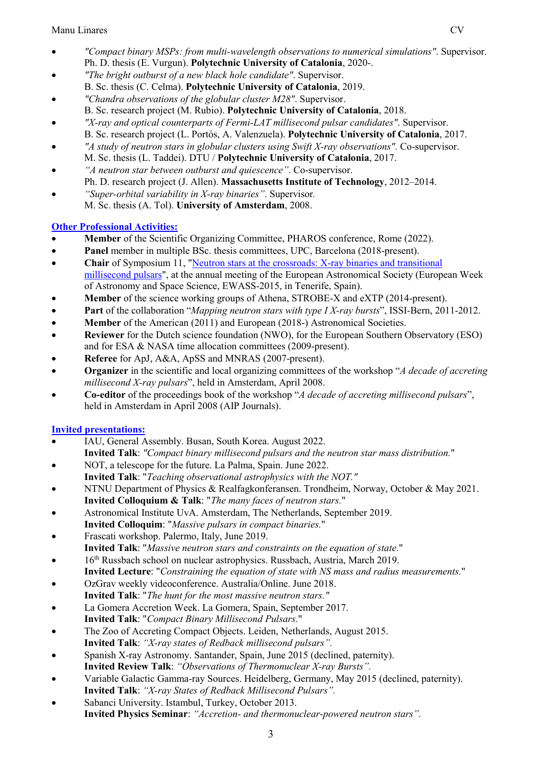- *"Compact binary MSPs: from multi-wavelength observations to numerical simulations"*. Supervisor. Ph. D. thesis (E. Vurgun). **Polytechnic University of Catalonia**, 2020-.
- *"The bright outburst of a new black hole candidate"*. Supervisor. B. Sc. thesis (C. Celma). **Polytechnic University of Catalonia**, 2019.
- *"Chandra observations of the globular cluster M28"*. Supervisor. B. Sc. research project (M. Rubio). **Polytechnic University of Catalonia**, 2018.
- *"X-ray and optical counterparts of Fermi-LAT millisecond pulsar candidates"*. Supervisor. B. Sc. research project (L. Portós, A. Valenzuela). **Polytechnic University of Catalonia**, 2017.
- *"A study of neutron stars in globular clusters using Swift X-ray observations".* Co-supervisor. M. Sc. thesis (L. Taddei). DTU / **Polytechnic University of Catalonia**, 2017.
- *"A neutron star between outburst and quiescence"*. Co-supervisor. Ph. D. research project (J. Allen). **Massachusetts Institute of Technology**, 2012–2014.
- *"Super-orbital variability in X-ray binaries"*. Supervisor*.* M. Sc. thesis (A. Tol). **University of Amsterdam**, 2008.

## **Other Professional Activities:**

- **Member** of the Scientific Organizing Committee, PHAROS conference, Rome (2022).
- **Panel** member in multiple BSc. thesis committees, UPC, Barcelona (2018-present).
- **Chair** of Symposium 11, "Neutron stars at the crossroads: X-ray binaries and transitional [millisecond](http://eas.unige.ch/EWASS2015/session.jsp?id=S11) pulsars", at the annual meeting of the European Astronomical Society (European Week of Astronomy and Space Science, EWASS-2015, in Tenerife, Spain).
- **Member** of the science working groups of Athena, STROBE-X and eXTP (2014-present).
- **Part** of the collaboration "*Mapping neutron stars with type I X-ray bursts*", ISSI-Bern, 2011-2012.
- **Member** of the American (2011) and European (2018-) Astronomical Societies.
- **Reviewer** for the Dutch science foundation (NWO), for the European Southern Observatory (ESO) and for ESA & NASA time allocation committees (2009-present).
- **Referee** for ApJ, A&A, ApSS and MNRAS (2007-present).
- **Organizer** in the scientific and local organizing committees of the workshop "*A decade of accreting millisecond X-ray pulsars*", held in Amsterdam, April 2008.
- **Co-editor** of the proceedings book of the workshop "*A decade of accreting millisecond pulsars*", held in Amsterdam in April 2008 (AIP Journals).

## **Invited presentations:**

- IAU, General Assembly. Busan, South Korea. August 2022. **Invited Talk**: *"Compact binary millisecond pulsars and the neutron star mass distribution.*"
- NOT, a telescope for the future. La Palma, Spain. June 2022. **Invited Talk**: "*Teaching observational astrophysics with the NOT."*
- NTNU Department of Physics & Realfagkonferansen. Trondheim, Norway, October & May 2021. **Invited Colloquium & Talk**: "*The many faces of neutron stars.*"
- Astronomical Institute UvA. Amsterdam, The Netherlands, September 2019.
- **Invited Colloquim**: "*Massive pulsars in compact binaries.*"
- Frascati workshop. Palermo, Italy, June 2019. **Invited Talk**: "*Massive neutron stars and constraints on the equation of state.*"
- 16<sup>th</sup> Russbach school on nuclear astrophysics. Russbach, Austria, March 2019.
- **Invited Lecture**: "*Constraining the equation of state with NS mass and radius measurements.*"
- OzGrav weekly videoconference. Australia/Online. June 2018. **Invited Talk**: "*The hunt for the most massive neutron stars."*
- La Gomera Accretion Week. La Gomera, Spain, September 2017. **Invited Talk**: "*Compact Binary Millisecond Pulsars.*"
- The Zoo of Accreting Compact Objects. Leiden, Netherlands, August 2015. **Invited Talk**: *"X-ray states of Redback millisecond pulsars".*
- Spanish X-ray Astronomy. Santander, Spain, June 2015 (declined, paternity). **Invited Review Talk**: *"Observations of Thermonuclear X-ray Bursts".*
- 
- Variable Galactic Gamma-ray Sources. Heidelberg, Germany, May 2015 (declined, paternity). **Invited Talk**: *"X-ray States of Redback Millisecond Pulsars".*
- Sabanci University. Istambul, Turkey, October 2013. **Invited Physics Seminar**: *"Accretion- and thermonuclear-powered neutron stars".*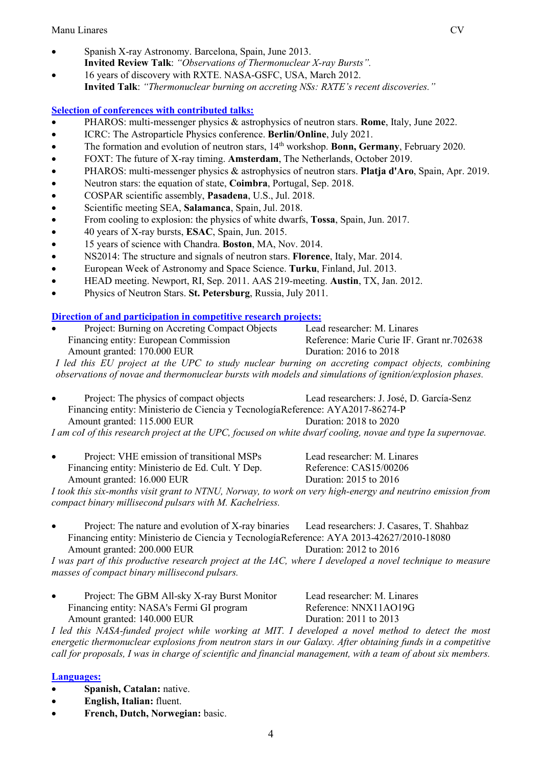- Spanish X-ray Astronomy. Barcelona, Spain, June 2013. **Invited Review Talk**: *"Observations of Thermonuclear X-ray Bursts".*
- 16 years of discovery with RXTE. NASA-GSFC, USA, March 2012. **Invited Talk**: *"Thermonuclear burning on accreting NSs: RXTE's recent discoveries."*

### **Selection of conferences with contributed talks:**

- PHAROS: multi-messenger physics & astrophysics of neutron stars. **Rome**, Italy, June 2022.
- ICRC: The Astroparticle Physics conference. **Berlin/Online**, July 2021.
- The formation and evolution of neutron stars, 14<sup>th</sup> workshop. **Bonn, Germany**, February 2020.
- FOXT: The future of X-ray timing. **Amsterdam**, The Netherlands, October 2019.
- PHAROS: multi-messenger physics & astrophysics of neutron stars. **Platja d'Aro**, Spain, Apr. 2019.
- Neutron stars: the equation of state, **Coimbra**, Portugal, Sep. 2018.
- COSPAR scientific assembly, **Pasadena**, U.S., Jul. 2018.
- Scientific meeting SEA, **Salamanca**, Spain, Jul. 2018.
- From cooling to explosion: the physics of white dwarfs, **Tossa**, Spain, Jun. 2017.
- 40 years of X-ray bursts, **ESAC**, Spain, Jun. 2015.
- 15 years of science with Chandra. **Boston**, MA, Nov. 2014.
- NS2014: The structure and signals of neutron stars. **Florence**, Italy, Mar. 2014.
- European Week of Astronomy and Space Science. **Turku**, Finland, Jul. 2013.
- HEAD meeting. Newport, RI, Sep. 2011. AAS 219-meeting. **Austin**, TX, Jan. 2012.
- Physics of Neutron Stars. **St. Petersburg**, Russia, July 2011.

#### **Direction of and participation in competitive research projects:**

| $\bullet$                                                                                                | Project: Burning on Accreting Compact Objects | Lead researcher: M. Linares                |
|----------------------------------------------------------------------------------------------------------|-----------------------------------------------|--------------------------------------------|
|                                                                                                          | Financing entity: European Commission         | Reference: Marie Curie IF. Grant nr.702638 |
|                                                                                                          | Amount granted: 170.000 EUR                   | Duration: 2016 to 2018                     |
| I led this EU project at the UPC to study nuclear burning on accreting compact objects, combining        |                                               |                                            |
| observations of novae and thermonuclear bursts with models and simulations of ignition/explosion phases. |                                               |                                            |

• Project: The physics of compact objects Lead researchers: J. José, D. García-Senz Financing entity: Ministerio de Ciencia y TecnologíaReference: AYA2017-86274-P Amount granted: 115.000 EUR Duration: 2018 to 2020

*I am coI of this research project at the UPC, focused on white dwarf cooling, novae and type Ia supernovae.*

• Project: VHE emission of transitional MSPs Lead researcher: M. Linares Financing entity: Ministerio de Ed. Cult. Y Dep. Reference: CAS15/00206 Amount granted: 16.000 EUR Duration: 2015 to 2016

*I took this six-months visit grant to NTNU, Norway, to work on very high-energy and neutrino emission from compact binary millisecond pulsars with M. Kachelriess.*

Project: The nature and evolution of X-ray binaries Lead researchers: J. Casares, T. Shahbaz Financing entity: Ministerio de Ciencia y TecnologíaReference: AYA 2013-42627/2010-18080 Amount granted: 200.000 EUR Duration: 2012 to 2016

*I was part of this productive research project at the IAC, where I developed a novel technique to measure masses of compact binary millisecond pulsars.* 

• Project: The GBM All-sky X-ray Burst Monitor Lead researcher: M. Linares Financing entity: NASA's Fermi GI program Reference: NNX11AO19G Amount granted: 140.000 EUR Duration: 2011 to 2013

*I led this NASA-funded project while working at MIT. I developed a novel method to detect the most energetic thermonuclear explosions from neutron stars in our Galaxy. After obtaining funds in a competitive call for proposals, I was in charge of scientific and financial management, with a team of about six members.*

#### **Languages:**

- **Spanish, Catalan:** native.
- **English, Italian:** fluent.
- **French, Dutch, Norwegian:** basic.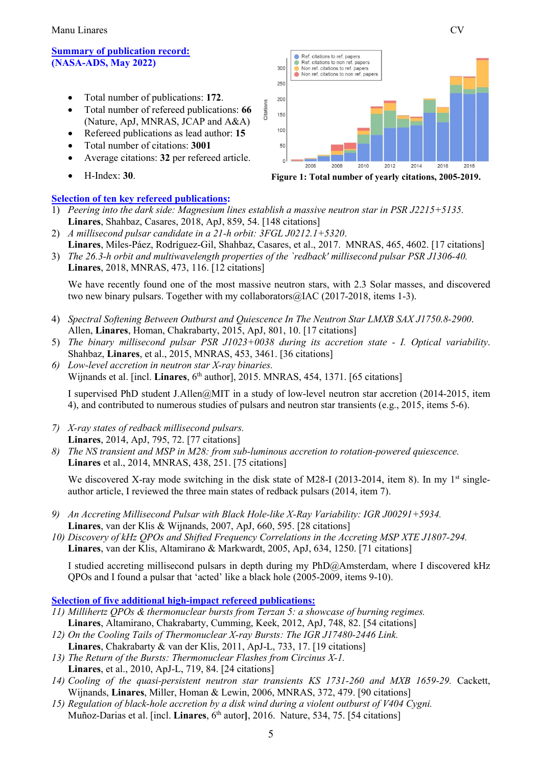Manu Linares CV

#### **Summary of publication record: [\(NASA-ADS, M](http://adsabs.harvard.edu/cgi-bin/nph-abs_connect?db_key=AST&db_key=PRE&qform=AST&arxiv_sel=astro-ph&arxiv_sel=cond-mat&arxiv_sel=cs&arxiv_sel=gr-qc&arxiv_sel=hep-ex&arxiv_sel=hep-lat&arxiv_sel=hep-ph&arxiv_sel=hep-th&arxiv_sel=math&arxiv_sel=math-ph&arxiv_sel=nlin&arxiv_sel=nucl-ex&arxiv_sel=nucl-th&arxiv_sel=physics&arxiv_sel=quant-ph&arxiv_sel=q-bio&sim_query=YES&ned_query=YES&adsobj_query=YES&aut_logic=OR&obj_logic=OR&author=linares%2C+m.&object=&start_mon=&start_year=&end_mon=&end_year=&ttl_logic=OR&title=&txt_logic=OR&text=&nr_to_return=200&start_nr=1&jou_pick=ALL&ref_stems=&data_and=ALL&group_and=ALL&start_entry_day=&start_entry_mon=&start_entry_year=&end_entry_day=&end_entry_mon=&end_entry_year=&min_score=&sort=SCORE&data_type=SHORT&aut_syn=YES&ttl_syn=YES&txt_syn=YES&aut_wt=1.0&obj_wt=1.0&ttl_wt=0.3&txt_wt=3.0&aut_wgt=YES&obj_wgt=YES&ttl_wgt=YES&txt_wgt=YES&ttl_sco=YES&txt_sco=YES&version=1)ay 2022)**

- Total number of publications: **172**.
- Total number of refereed publications: **66** (Nature, ApJ, MNRAS, JCAP and A&A)
- Refereed publications as lead author: **15**
- Total number of citations: **3001**
- Average citations: **32** per refereed article.
- H-Index: **30**.

### **Selection of ten key refereed publications:**



- 1) *Peering into the dark side: Magnesium lines establish a massive neutron star in PSR J2215+5135.* **Linares**, Shahbaz, Casares, 2018, ApJ, 859, 54. [148 citations]
- 2) *A millisecond pulsar candidate in a 21-h orbit: 3FGL J0212.1+5320*.
- **Linares**, Miles-Páez, Rodríguez-Gil, Shahbaz, Casares, et al., 2017. MNRAS, 465, 4602. [17 citations] 3) *The 26.3-h orbit and multiwavelength properties of the `redback' millisecond pulsar PSR J1306-40.*

**Linares**, 2018, MNRAS, 473, 116. [12 citations]

We have recently found one of the most massive neutron stars, with 2.3 Solar masses, and discovered two new binary pulsars. Together with my collaborators@IAC (2017-2018, items 1-3).

- 4) *Spectral Softening Between Outburst and Quiescence In The Neutron Star LMXB SAX J1750.8-2900*. Allen, **Linares**, Homan, Chakrabarty, 2015, ApJ, 801, 10. [17 citations]
- 5) *The binary millisecond pulsar PSR J1023+0038 during its accretion state - I. Optical variability*. Shahbaz, **Linares**, et al., 2015, MNRAS, 453, 3461. [36 citations]
- *6) Low-level accretion in neutron star X-ray binaries.*  Wijnands et al. [incl. **Linares**, 6<sup>th</sup> author], 2015. MNRAS, 454, 1371. [65 citations]

I supervised PhD student J.Allen@MIT in a study of low-level neutron star accretion (2014-2015, item 4), and contributed to numerous studies of pulsars and neutron star transients (e.g., 2015, items 5-6).

- *7) X-ray states of redback millisecond pulsars.* **Linares**, 2014, ApJ, 795, 72. [77 citations]
- *8) The NS transient and MSP in M28: from sub-luminous accretion to rotation-powered quiescence.* **Linares** et al., 2014, MNRAS, 438, 251. [75 citations]

We discovered X-ray mode switching in the disk state of M28-I (2013-2014, item 8). In my 1<sup>st</sup> singleauthor article, I reviewed the three main states of redback pulsars (2014, item 7).

- *9) An Accreting Millisecond Pulsar with Black Hole-like X-Ray Variability: IGR J00291+5934.* **Linares**, van der Klis & Wijnands, 2007, ApJ, 660, 595. [28 citations]
- *10) Discovery of kHz QPOs and Shifted Frequency Correlations in the Accreting MSP XTE J1807-294.* **Linares**, van der Klis, Altamirano & Markwardt, 2005, ApJ, 634, 1250. [71 citations]

I studied accreting millisecond pulsars in depth during my PhD@Amsterdam, where I discovered kHz QPOs and I found a pulsar that 'acted' like a black hole (2005-2009, items 9-10).

#### **Selection of five additional high-impact refereed publications:**

- *11) Millihertz QPOs & thermonuclear bursts from Terzan 5: a showcase of burning regimes.* **Linares**, Altamirano, Chakrabarty, Cumming, Keek, 2012, ApJ, 748, 82. [54 citations]
- *12) On the Cooling Tails of Thermonuclear X-ray Bursts: The IGR J17480-2446 Link.* **Linares**, Chakrabarty & van der Klis, 2011, ApJ-L, 733, 17. [19 citations]
- *13) The Return of the Bursts: Thermonuclear Flashes from Circinus X-1.* **Linares**, et al., 2010, ApJ-L, 719, 84. [24 citations]
- *14) Cooling of the quasi-persistent neutron star transients KS 1731-260 and MXB 1659-29.* Cackett, Wijnands, **Linares**, Miller, Homan & Lewin, 2006, MNRAS, 372, 479. [90 citations]
- *15) Regulation of black-hole accretion by a disk wind during a violent outburst of V404 Cygni.*  Muñoz-Darias et al. [incl. **Linares**, 6<sup>th</sup> autor], 2016. Nature, 534, 75. [54 citations]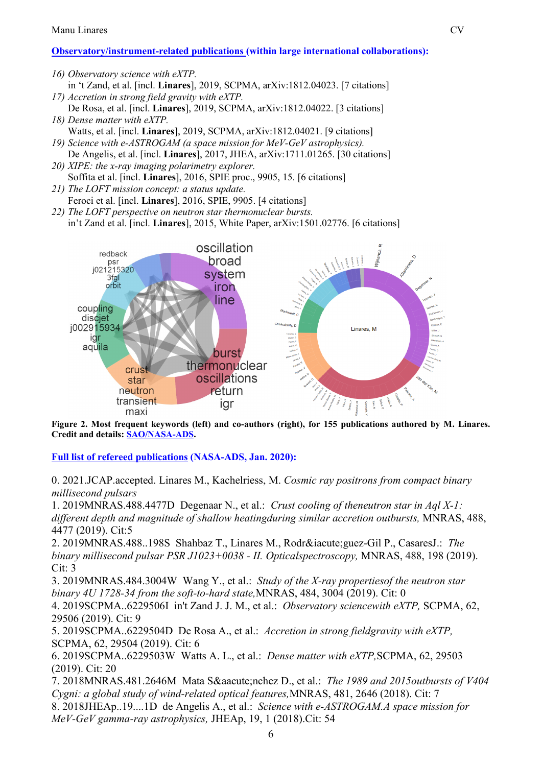## **Observatory/instrument-related publications (within large international collaborations):**

*16) Observatory science with eXTP.* in 't Zand, et al. [incl. **Linares**], 2019, SCPMA, arXiv:1812.04023. [7 citations]

- *17) Accretion in strong field gravity with eXTP.* De Rosa, et al. [incl. **Linares**], 2019, SCPMA, arXiv:1812.04022. [3 citations]
- *18) Dense matter with eXTP.* Watts, et al. [incl. **Linares**], 2019, SCPMA, arXiv:1812.04021. [9 citations]
- *19) Science with e-ASTROGAM (a space mission for MeV-GeV astrophysics).* De Angelis, et al. [incl. **Linares**], 2017, JHEA, arXiv:1711.01265. [30 citations]
- *20) XIPE: the x-ray imaging polarimetry explorer.* Soffita et al. [incl. **Linares**], 2016, SPIE proc., 9905, 15. [6 citations]
- *21) The LOFT mission concept: a status update.* Feroci et al. [incl. **Linares**], 2016, SPIE, 9905. [4 citations]
- *22) The LOFT perspective on neutron star thermonuclear bursts.* in't Zand et al. [incl. **Linares**], 2015, White Paper, arXiv:1501.02776. [6 citations]



**Figure 2. Most frequent keywords (left) and co-authors (right), for 155 publications authored by M. Linares. Credit and details: [SAO/NASA-ADS.](https://ui.adsabs.harvard.edu/)**

**Full list of refereed publications [\(NASA-ADS, J](http://adsabs.harvard.edu/cgi-bin/nph-abs_connect?db_key=AST&db_key=PRE&qform=AST&arxiv_sel=astro-ph&arxiv_sel=cond-mat&arxiv_sel=cs&arxiv_sel=gr-qc&arxiv_sel=hep-ex&arxiv_sel=hep-lat&arxiv_sel=hep-ph&arxiv_sel=hep-th&arxiv_sel=math&arxiv_sel=math-ph&arxiv_sel=nlin&arxiv_sel=nucl-ex&arxiv_sel=nucl-th&arxiv_sel=physics&arxiv_sel=quant-ph&arxiv_sel=q-bio&sim_query=YES&ned_query=YES&adsobj_query=YES&aut_logic=OR&obj_logic=OR&author=linares%2C+m.&object=&start_mon=&start_year=&end_mon=&end_year=&ttl_logic=OR&title=&txt_logic=OR&text=&nr_to_return=200&start_nr=1&jou_pick=ALL&ref_stems=&data_and=ALL&group_and=ALL&start_entry_day=&start_entry_mon=&start_entry_year=&end_entry_day=&end_entry_mon=&end_entry_year=&min_score=&sort=SCORE&data_type=SHORT&aut_syn=YES&ttl_syn=YES&txt_syn=YES&aut_wt=1.0&obj_wt=1.0&ttl_wt=0.3&txt_wt=3.0&aut_wgt=YES&obj_wgt=YES&ttl_wgt=YES&txt_wgt=YES&ttl_sco=YES&txt_sco=YES&version=1)an. 2020):**

0. 2021.JCAP.accepted. Linares M., Kachelriess, M. *Cosmic ray positrons from compact binary millisecond pulsars*

1. [2019MNRAS.488.4477D](https://ui.adsabs.harvard.edu/abs/2019MNRAS.488.4477D) Degenaar N., et al.: *Crust cooling of theneutron star in Aql X-1: different depth and magnitude of shallow heatingduring similar accretion outbursts,* MNRAS, 488, 4477 (2019). Cit:5

2. [2019MNRAS.488..198S](https://ui.adsabs.harvard.edu/abs/2019MNRAS.488..198S) Shahbaz T., Linares M., Rodrí guez-Gil P., CasaresJ.: The *binary millisecond pulsar PSR J1023+0038 - II. Opticalspectroscopy,* MNRAS, 488, 198 (2019). Cit: 3

3. [2019MNRAS.484.3004W](https://ui.adsabs.harvard.edu/abs/2019MNRAS.484.3004W) Wang Y., et al.: *Study of the X-ray propertiesof the neutron star binary 4U 1728-34 from the soft-to-hard state,*MNRAS, 484, 3004 (2019). Cit: 0

4. [2019SCPMA..6229506I](https://ui.adsabs.harvard.edu/abs/2019SCPMA..6229506I) in't Zand J. J. M., et al.: *Observatory sciencewith eXTP,* SCPMA, 62, 29506 (2019). Cit: 9

5. [2019SCPMA..6229504D](https://ui.adsabs.harvard.edu/abs/2019SCPMA..6229504D) De Rosa A., et al.: *Accretion in strong fieldgravity with eXTP,*  SCPMA, 62, 29504 (2019). Cit: 6

6. [2019SCPMA..6229503W](https://ui.adsabs.harvard.edu/abs/2019SCPMA..6229503W) Watts A. L., et al.: *Dense matter with eXTP,*SCPMA, 62, 29503 (2019). Cit: 20

7. [2018MNRAS.481.2646M](https://ui.adsabs.harvard.edu/abs/2018MNRAS.481.2646M) Mata Sánchez D., et al.: *The 1989 and 2015outbursts of V404 Cygni: a global study of wind-related optical features,*MNRAS, 481, 2646 (2018). Cit: 7

8. [2018JHEAp..19....1D](https://ui.adsabs.harvard.edu/abs/2018JHEAp..19....1D) de Angelis A., et al.: *Science with e-ASTROGAM.A space mission for MeV-GeV gamma-ray astrophysics,* JHEAp, 19, 1 (2018).Cit: 54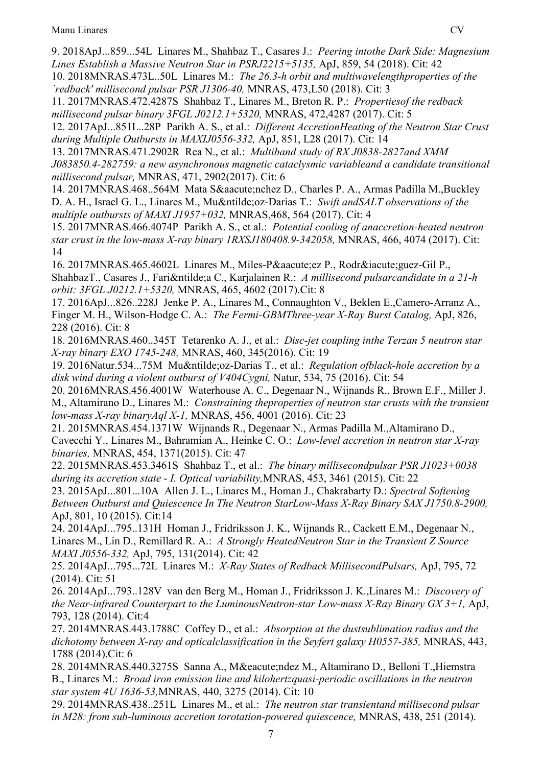9. [2018ApJ...859...54L](https://ui.adsabs.harvard.edu/abs/2018ApJ...859...54L) Linares M., Shahbaz T., Casares J.: *Peering intothe Dark Side: Magnesium Lines Establish a Massive Neutron Star in PSRJ2215+5135,* ApJ, 859, 54 (2018). Cit: 42

10. [2018MNRAS.473L..50L](https://ui.adsabs.harvard.edu/abs/2018MNRAS.473L..50L) Linares M.: *The 26.3-h orbit and multiwavelengthproperties of the `redback' millisecond pulsar PSR J1306-40,* MNRAS, 473,L50 (2018). Cit: 3

11. [2017MNRAS.472.4287S](https://ui.adsabs.harvard.edu/abs/2017MNRAS.472.4287S) Shahbaz T., Linares M., Breton R. P.: *Propertiesof the redback millisecond pulsar binary 3FGL J0212.1+5320,* MNRAS, 472,4287 (2017). Cit: 5

12. [2017ApJ...851L..28P](https://ui.adsabs.harvard.edu/abs/2017ApJ...851L..28P) Parikh A. S., et al.: *Different AccretionHeating of the Neutron Star Crust during Multiple Outbursts in MAXIJ0556-332,* ApJ, 851, L28 (2017). Cit: 14

13. [2017MNRAS.471.2902R](https://ui.adsabs.harvard.edu/abs/2017MNRAS.471.2902R) Rea N., et al.: *Multiband study of RX J0838-2827and XMM J083850.4-282759: a new asynchronous magnetic cataclysmic variableand a candidate transitional millisecond pulsar,* MNRAS, 471, 2902(2017). Cit: 6

14. [2017MNRAS.468..564M](https://ui.adsabs.harvard.edu/abs/2017MNRAS.468..564M) Mata Sánchez D., Charles P. A., Armas Padilla M., Buckley D. A. H., Israel G. L., Linares M., Muñ oz-Darias T.: *Swift and SALT observations of the multiple outbursts of MAXI J1957+032,* MNRAS,468, 564 (2017). Cit: 4

15. [2017MNRAS.466.4074P](https://ui.adsabs.harvard.edu/abs/2017MNRAS.466.4074P) Parikh A. S., et al.: *Potential cooling of anaccretion-heated neutron star crust in the low-mass X-ray binary 1RXSJ180408.9-342058,* MNRAS, 466, 4074 (2017). Cit: 14

16. [2017MNRAS.465.4602L](https://ui.adsabs.harvard.edu/abs/2017MNRAS.465.4602L) Linares M., Miles-Pá ez P., Rodrí guez-Gil P., ShahbazT., Casares J., Fariña C., Karjalainen R.: *A millisecond pulsarcandidate in a 21-h orbit: 3FGL J0212.1+5320,* MNRAS, 465, 4602 (2017).Cit: 8

17. [2016ApJ...826..228J](https://ui.adsabs.harvard.edu/abs/2016ApJ...826..228J) Jenke P. A., Linares M., Connaughton V., Beklen E.,Camero-Arranz A., Finger M. H., Wilson-Hodge C. A.: *The Fermi-GBMThree-year X-Ray Burst Catalog,* ApJ, 826, 228 (2016). Cit: 8

18. [2016MNRAS.460..345T](https://ui.adsabs.harvard.edu/abs/2016MNRAS.460..345T) Tetarenko A. J., et al.: *Disc-jet coupling inthe Terzan 5 neutron star X-ray binary EXO 1745-248,* MNRAS, 460, 345(2016). Cit: 19

19. [2016Natur.534...75M](https://ui.adsabs.harvard.edu/abs/2016Natur.534...75M) Muñoz-Darias T., et al.: *Regulation ofblack-hole accretion by a disk wind during a violent outburst of V404Cygni,* Natur, 534, 75 (2016). Cit: 54

20. [2016MNRAS.456.4001W](https://ui.adsabs.harvard.edu/abs/2016MNRAS.456.4001W) Waterhouse A. C., Degenaar N., Wijnands R., Brown E.F., Miller J. M., Altamirano D., Linares M.: *Constraining theproperties of neutron star crusts with the transient low-mass X-ray binaryAql X-1,* MNRAS, 456, 4001 (2016). Cit: 23

21. [2015MNRAS.454.1371W](https://ui.adsabs.harvard.edu/abs/2015MNRAS.454.1371W) Wijnands R., Degenaar N., Armas Padilla M.,Altamirano D., Cavecchi Y., Linares M., Bahramian A., Heinke C. O.: *Low-level accretion in neutron star X-ray binaries,* MNRAS, 454, 1371(2015). Cit: 47

22. [2015MNRAS.453.3461S](https://ui.adsabs.harvard.edu/abs/2015MNRAS.453.3461S) Shahbaz T., et al.: *The binary millisecondpulsar PSR J1023+0038 during its accretion state - I. Optical variability,*MNRAS, 453, 3461 (2015). Cit: 22

23. [2015ApJ...801...10A](https://ui.adsabs.harvard.edu/abs/2015ApJ...801...10A) Allen J. L., Linares M., Homan J., Chakrabarty D.: *Spectral Softening Between Outburst and Quiescence In The Neutron StarLow-Mass X-Ray Binary SAX J1750.8-2900,*  ApJ, 801, 10 (2015). Cit:14

24. [2014ApJ...795..131H](https://ui.adsabs.harvard.edu/abs/2014ApJ...795..131H) Homan J., Fridriksson J. K., Wijnands R., Cackett E.M., Degenaar N., Linares M., Lin D., Remillard R. A.: *A Strongly HeatedNeutron Star in the Transient Z Source MAXI J0556-332,* ApJ, 795, 131(2014). Cit: 42

25. [2014ApJ...795...72L](https://ui.adsabs.harvard.edu/abs/2014ApJ...795...72L) Linares M.: *X-Ray States of Redback MillisecondPulsars,* ApJ, 795, 72 (2014). Cit: 51

26. [2014ApJ...793..128V](https://ui.adsabs.harvard.edu/abs/2014ApJ...793..128V) van den Berg M., Homan J., Fridriksson J. K.,Linares M.: *Discovery of the Near-infrared Counterpart to the LuminousNeutron-star Low-mass X-Ray Binary GX 3+1,* ApJ, 793, 128 (2014). Cit:4

27. [2014MNRAS.443.1788C](https://ui.adsabs.harvard.edu/abs/2014MNRAS.443.1788C) Coffey D., et al.: *Absorption at the dustsublimation radius and the dichotomy between X-ray and opticalclassification in the Seyfert galaxy H0557-385,* MNRAS, 443, 1788 (2014).Cit: 6

28. [2014MNRAS.440.3275S](https://ui.adsabs.harvard.edu/abs/2014MNRAS.440.3275S) Sanna A., Méndez M., Altamirano D., Belloni T., Hiemstra B., Linares M.: *Broad iron emission line and kilohertzquasi-periodic oscillations in the neutron star system 4U 1636-53,*MNRAS, 440, 3275 (2014). Cit: 10

29. [2014MNRAS.438..251L](https://ui.adsabs.harvard.edu/abs/2014MNRAS.438..251L) Linares M., et al.: *The neutron star transientand millisecond pulsar in M28: from sub-luminous accretion torotation-powered quiescence,* MNRAS, 438, 251 (2014).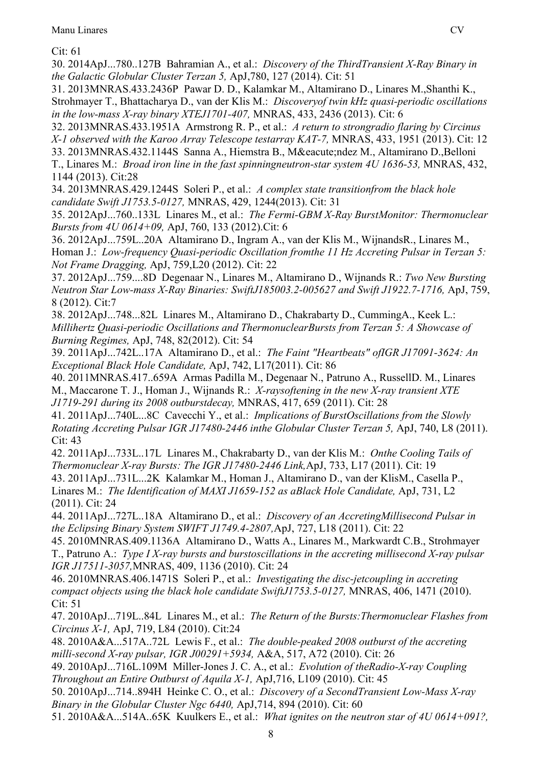Cit: 61

30. [2014ApJ...780..127B](https://ui.adsabs.harvard.edu/abs/2014ApJ...780..127B) Bahramian A., et al.: *Discovery of the ThirdTransient X-Ray Binary in the Galactic Globular Cluster Terzan 5,* ApJ,780, 127 (2014). Cit: 51

31. [2013MNRAS.433.2436P](https://ui.adsabs.harvard.edu/abs/2013MNRAS.433.2436P) Pawar D. D., Kalamkar M., Altamirano D., Linares M.,Shanthi K., Strohmayer T., Bhattacharya D., van der Klis M.: *Discoveryof twin kHz quasi-periodic oscillations in the low-mass X-ray binary XTEJ1701-407,* MNRAS, 433, 2436 (2013). Cit: 6

32. [2013MNRAS.433.1951A](https://ui.adsabs.harvard.edu/abs/2013MNRAS.433.1951A) Armstrong R. P., et al.: *A return to strongradio flaring by Circinus X-1 observed with the Karoo Array Telescope testarray KAT-7,* MNRAS, 433, 1951 (2013). Cit: 12

33. [2013MNRAS.432.1144S](https://ui.adsabs.harvard.edu/abs/2013MNRAS.432.1144S) Sanna A., Hiemstra B., Méndez M., Altamirano D.,Belloni T., Linares M.: *Broad iron line in the fast spinningneutron-star system 4U 1636-53,* MNRAS, 432, 1144 (2013). Cit:28

34. [2013MNRAS.429.1244S](https://ui.adsabs.harvard.edu/abs/2013MNRAS.429.1244S) Soleri P., et al.: *A complex state transitionfrom the black hole candidate Swift J1753.5-0127,* MNRAS, 429, 1244(2013). Cit: 31

35. [2012ApJ...760..133L](https://ui.adsabs.harvard.edu/abs/2012ApJ...760..133L) Linares M., et al.: *The Fermi-GBM X-Ray BurstMonitor: Thermonuclear Bursts from 4U 0614+09,* ApJ, 760, 133 (2012).Cit: 6

36. [2012ApJ...759L..20A](https://ui.adsabs.harvard.edu/abs/2012ApJ...759L..20A) Altamirano D., Ingram A., van der Klis M., WijnandsR., Linares M., Homan J.: *Low-frequency Quasi-periodic Oscillation fromthe 11 Hz Accreting Pulsar in Terzan 5: Not Frame Dragging,* ApJ, 759,L20 (2012). Cit: 22

37. [2012ApJ...759....8D](https://ui.adsabs.harvard.edu/abs/2012ApJ...759....8D) Degenaar N., Linares M., Altamirano D., Wijnands R.: *Two New Bursting Neutron Star Low-mass X-Ray Binaries: SwiftJ185003.2-005627 and Swift J1922.7-1716,* ApJ, 759, 8 (2012). Cit:7

38. [2012ApJ...748...82L](https://ui.adsabs.harvard.edu/abs/2012ApJ...748...82L) Linares M., Altamirano D., Chakrabarty D., CummingA., Keek L.: *Millihertz Quasi-periodic Oscillations and ThermonuclearBursts from Terzan 5: A Showcase of Burning Regimes,* ApJ, 748, 82(2012). Cit: 54

39. [2011ApJ...742L..17A](https://ui.adsabs.harvard.edu/abs/2011ApJ...742L..17A) Altamirano D., et al.: *The Faint "Heartbeats" ofIGR J17091-3624: An Exceptional Black Hole Candidate,* ApJ, 742, L17(2011). Cit: 86

40. [2011MNRAS.417..659A](https://ui.adsabs.harvard.edu/abs/2011MNRAS.417..659A) Armas Padilla M., Degenaar N., Patruno A., RussellD. M., Linares M., Maccarone T. J., Homan J., Wijnands R.: *X-raysoftening in the new X-ray transient XTE J1719-291 during its 2008 outburstdecay,* MNRAS, 417, 659 (2011). Cit: 28

41. [2011ApJ...740L...8C](https://ui.adsabs.harvard.edu/abs/2011ApJ...740L...8C) Cavecchi Y., et al.: *Implications of BurstOscillations from the Slowly Rotating Accreting Pulsar IGR J17480-2446 inthe Globular Cluster Terzan 5,* ApJ, 740, L8 (2011). Cit: 43

42. [2011ApJ...733L..17L](https://ui.adsabs.harvard.edu/abs/2011ApJ...733L..17L) Linares M., Chakrabarty D., van der Klis M.: *Onthe Cooling Tails of Thermonuclear X-ray Bursts: The IGR J17480-2446 Link,*ApJ, 733, L17 (2011). Cit: 19

43. [2011ApJ...731L...2K](https://ui.adsabs.harvard.edu/abs/2011ApJ...731L...2K) Kalamkar M., Homan J., Altamirano D., van der KlisM., Casella P., Linares M.: *The Identification of MAXI J1659-152 as aBlack Hole Candidate, ApJ, 731, L2* (2011). Cit: 24

44. [2011ApJ...727L..18A](https://ui.adsabs.harvard.edu/abs/2011ApJ...727L..18A) Altamirano D., et al.: *Discovery of an AccretingMillisecond Pulsar in the Eclipsing Binary System SWIFT J1749.4-2807,*ApJ, 727, L18 (2011). Cit: 22

45. [2010MNRAS.409.1136A](https://ui.adsabs.harvard.edu/abs/2010MNRAS.409.1136A) Altamirano D., Watts A., Linares M., Markwardt C.B., Strohmayer T., Patruno A.: *Type I X-ray bursts and burstoscillations in the accreting millisecond X-ray pulsar IGR J17511-3057,*MNRAS, 409, 1136 (2010). Cit: 24

46. [2010MNRAS.406.1471S](https://ui.adsabs.harvard.edu/abs/2010MNRAS.406.1471S) Soleri P., et al.: *Investigating the disc-jetcoupling in accreting compact objects using the black hole candidate SwiftJ1753.5-0127, MNRAS, 406, 1471 (2010).* Cit: 51

47. [2010ApJ...719L..84L](https://ui.adsabs.harvard.edu/abs/2010ApJ...719L..84L) Linares M., et al.: *The Return of the Bursts:Thermonuclear Flashes from Circinus X-1,* ApJ, 719, L84 (2010). Cit:24

48. [2010A&A...517A..72L](https://ui.adsabs.harvard.edu/abs/2010A%26A...517A..72L) Lewis F., et al.: *The double-peaked 2008 outburst of the accreting milli-second X-ray pulsar, IGR J00291+5934,* A&A, 517, A72 (2010). Cit: 26

49. [2010ApJ...716L.109M](https://ui.adsabs.harvard.edu/abs/2010ApJ...716L.109M) Miller-Jones J. C. A., et al.: *Evolution of theRadio-X-ray Coupling Throughout an Entire Outburst of Aquila X-1,* ApJ,716, L109 (2010). Cit: 45

50. [2010ApJ...714..894H](https://ui.adsabs.harvard.edu/abs/2010ApJ...714..894H) Heinke C. O., et al.: *Discovery of a SecondTransient Low-Mass X-ray Binary in the Globular Cluster Ngc 6440,* ApJ,714, 894 (2010). Cit: 60

51. [2010A&A...514A..65K](https://ui.adsabs.harvard.edu/abs/2010A%26A...514A..65K) Kuulkers E., et al.: *What ignites on the neutron star of 4U 0614+091?,*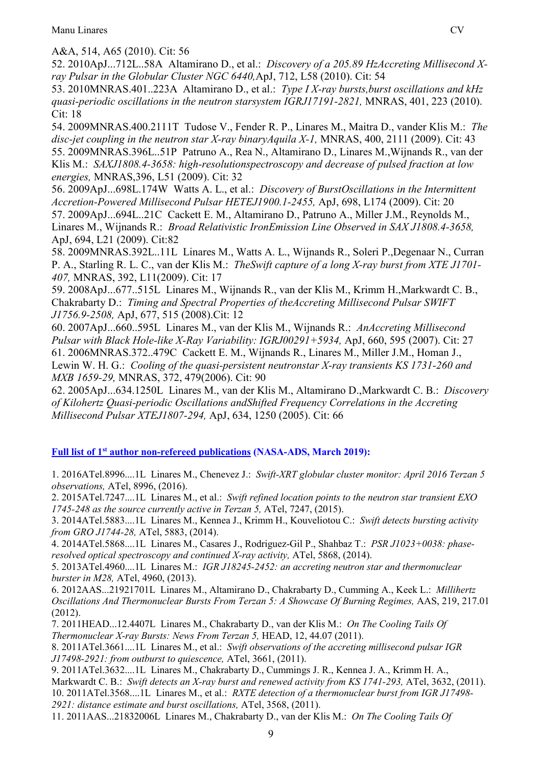A&A, 514, A65 (2010). Cit: 56

52. [2010ApJ...712L..58A](https://ui.adsabs.harvard.edu/abs/2010ApJ...712L..58A) Altamirano D., et al.: *Discovery of a 205.89 HzAccreting Millisecond Xray Pulsar in the Globular Cluster NGC 6440,*ApJ, 712, L58 (2010). Cit: 54

53. [2010MNRAS.401..223A](https://ui.adsabs.harvard.edu/abs/2010MNRAS.401..223A) Altamirano D., et al.: *Type I X-ray bursts,burst oscillations and kHz quasi-periodic oscillations in the neutron starsystem IGRJ17191-2821,* MNRAS, 401, 223 (2010). Cit: 18

54. [2009MNRAS.400.2111T](https://ui.adsabs.harvard.edu/abs/2009MNRAS.400.2111T) Tudose V., Fender R. P., Linares M., Maitra D., vander Klis M.: *The*  disc-jet coupling in the neutron star X-ray binaryAquila X-1, MNRAS, 400, 2111 (2009). Cit: 43 55. [2009MNRAS.396L..51P](https://ui.adsabs.harvard.edu/abs/2009MNRAS.396L..51P) Patruno A., Rea N., Altamirano D., Linares M.,Wijnands R., van der Klis M.: *SAXJ1808.4-3658: high-resolutionspectroscopy and decrease of pulsed fraction at low energies,* MNRAS,396, L51 (2009). Cit: 32

56. [2009ApJ...698L.174W](https://ui.adsabs.harvard.edu/abs/2009ApJ...698L.174W) Watts A. L., et al.: *Discovery of BurstOscillations in the Intermittent Accretion-Powered Millisecond Pulsar HETEJ1900.1-2455,* ApJ, 698, L174 (2009). Cit: 20 57. [2009ApJ...694L..21C](https://ui.adsabs.harvard.edu/abs/2009ApJ...694L..21C) Cackett E. M., Altamirano D., Patruno A., Miller J.M., Reynolds M., Linares M., Wijnands R.: *Broad Relativistic IronEmission Line Observed in SAX J1808.4-3658,*  ApJ, 694, L21 (2009). Cit:82

58. [2009MNRAS.392L..11L](https://ui.adsabs.harvard.edu/abs/2009MNRAS.392L..11L) Linares M., Watts A. L., Wijnands R., Soleri P.,Degenaar N., Curran P. A., Starling R. L. C., van der Klis M.: *TheSwift capture of a long X-ray burst from XTE J1701- 407,* MNRAS, 392, L11(2009). Cit: 17

59. [2008ApJ...677..515L](https://ui.adsabs.harvard.edu/abs/2008ApJ...677..515L) Linares M., Wijnands R., van der Klis M., Krimm H.,Markwardt C. B., Chakrabarty D.: *Timing and Spectral Properties of theAccreting Millisecond Pulsar SWIFT J1756.9-2508,* ApJ, 677, 515 (2008).Cit: 12

60. [2007ApJ...660..595L](https://ui.adsabs.harvard.edu/abs/2007ApJ...660..595L) Linares M., van der Klis M., Wijnands R.: *AnAccreting Millisecond Pulsar with Black Hole-like X-Ray Variability: IGRJ00291+5934,* ApJ, 660, 595 (2007). Cit: 27 61. [2006MNRAS.372..479C](https://ui.adsabs.harvard.edu/abs/2006MNRAS.372..479C) Cackett E. M., Wijnands R., Linares M., Miller J.M., Homan J., Lewin W. H. G.: *Cooling of the quasi-persistent neutronstar X-ray transients KS 1731-260 and MXB 1659-29,* MNRAS, 372, 479(2006). Cit: 90

62. [2005ApJ...634.1250L](https://ui.adsabs.harvard.edu/abs/2005ApJ...634.1250L) Linares M., van der Klis M., Altamirano D.,Markwardt C. B.: *Discovery of Kilohertz Quasi-periodic Oscillations andShifted Frequency Correlations in the Accreting Millisecond Pulsar XTEJ1807-294,* ApJ, 634, 1250 (2005). Cit: 66

**Full list of 1st author non-refereed publications [\(NASA-ADS, M](http://adsabs.harvard.edu/cgi-bin/nph-abs_connect?db_key=AST&db_key=PRE&qform=AST&arxiv_sel=astro-ph&arxiv_sel=cond-mat&arxiv_sel=cs&arxiv_sel=gr-qc&arxiv_sel=hep-ex&arxiv_sel=hep-lat&arxiv_sel=hep-ph&arxiv_sel=hep-th&arxiv_sel=math&arxiv_sel=math-ph&arxiv_sel=nlin&arxiv_sel=nucl-ex&arxiv_sel=nucl-th&arxiv_sel=physics&arxiv_sel=quant-ph&arxiv_sel=q-bio&sim_query=YES&ned_query=YES&adsobj_query=YES&aut_logic=OR&obj_logic=OR&author=linares%2C+m.&object=&start_mon=&start_year=&end_mon=&end_year=&ttl_logic=OR&title=&txt_logic=OR&text=&nr_to_return=200&start_nr=1&jou_pick=ALL&ref_stems=&data_and=ALL&group_and=ALL&start_entry_day=&start_entry_mon=&start_entry_year=&end_entry_day=&end_entry_mon=&end_entry_year=&min_score=&sort=SCORE&data_type=SHORT&aut_syn=YES&ttl_syn=YES&txt_syn=YES&aut_wt=1.0&obj_wt=1.0&ttl_wt=0.3&txt_wt=3.0&aut_wgt=YES&obj_wgt=YES&ttl_wgt=YES&txt_wgt=YES&ttl_sco=YES&txt_sco=YES&version=1)arch 2019):**

1. [2016ATel.8996....1L](http://adsabs.harvard.edu/abs/2016ATel.8996....1L) Linares M., Chenevez J.: *Swift-XRT globular cluster monitor: April 2016 Terzan 5 observations,* ATel, 8996, (2016).

2. [2015ATel.7247....1L](http://adsabs.harvard.edu/abs/2015ATel.7247....1L) Linares M., et al.: *Swift refined location points to the neutron star transient EXO 1745-248 as the source currently active in Terzan 5,* ATel, 7247, (2015).

3. [2014ATel.5883....1L](http://adsabs.harvard.edu/abs/2014ATel.5883....1L) Linares M., Kennea J., Krimm H., Kouveliotou C.: *Swift detects bursting activity from GRO J1744-28,* ATel, 5883, (2014).

4. [2014ATel.5868....1L](http://adsabs.harvard.edu/abs/2014ATel.5868....1L) Linares M., Casares J., Rodriguez-Gil P., Shahbaz T.: *PSR J1023+0038: phaseresolved optical spectroscopy and continued X-ray activity,* ATel, 5868, (2014).

5. [2013ATel.4960....1L](http://adsabs.harvard.edu/abs/2013ATel.4960....1L) Linares M.: *IGR J18245-2452: an accreting neutron star and thermonuclear burster in M28,* ATel, 4960, (2013).

6. [2012AAS...21921701L](http://adsabs.harvard.edu/abs/2012AAS...21921701L) Linares M., Altamirano D., Chakrabarty D., Cumming A., Keek L.: *Millihertz Oscillations And Thermonuclear Bursts From Terzan 5: A Showcase Of Burning Regimes,* AAS, 219, 217.01 (2012).

7. [2011HEAD...12.4407L](http://adsabs.harvard.edu/abs/2011HEAD...12.4407L) Linares M., Chakrabarty D., van der Klis M.: *On The Cooling Tails Of Thermonuclear X-ray Bursts: News From Terzan 5,* HEAD, 12, 44.07 (2011).

8. [2011ATel.3661....1L](http://adsabs.harvard.edu/abs/2011ATel.3661....1L) Linares M., et al.: *Swift observations of the accreting millisecond pulsar IGR J17498-2921: from outburst to quiescence,* ATel, 3661, (2011).

9. [2011ATel.3632....1L](http://adsabs.harvard.edu/abs/2011ATel.3632....1L) Linares M., Chakrabarty D., Cummings J. R., Kennea J. A., Krimm H. A., Markwardt C. B.: *Swift detects an X-ray burst and renewed activity from KS 1741-293*, ATel, 3632, (2011). 10. [2011ATel.3568....1L](http://adsabs.harvard.edu/abs/2011ATel.3568....1L) Linares M., et al.: *RXTE detection of a thermonuclear burst from IGR J17498- 2921: distance estimate and burst oscillations,* ATel, 3568, (2011).

11. [2011AAS...21832006L](http://adsabs.harvard.edu/abs/2011AAS...21832006L) Linares M., Chakrabarty D., van der Klis M.: *On The Cooling Tails Of*